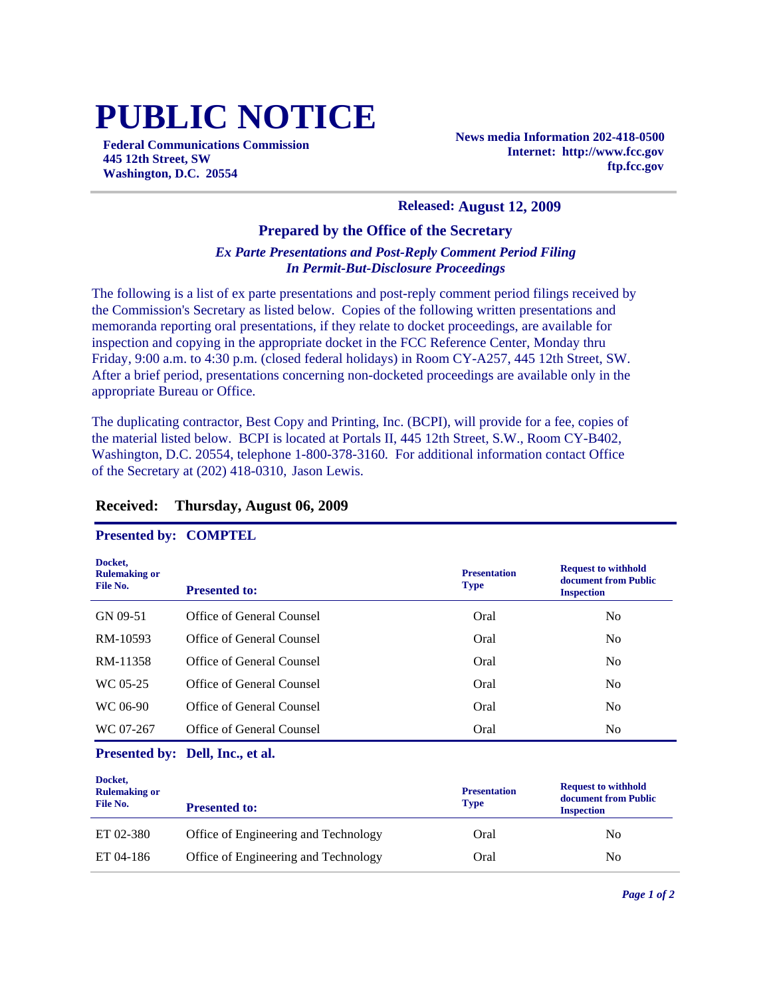# **PUBLIC NOTICE**

**Federal Communications Commission 445 12th Street, SW Washington, D.C. 20554**

**News media Information 202-418-0500 Internet: http://www.fcc.gov ftp.fcc.gov**

#### **Released: August 12, 2009**

#### **Prepared by the Office of the Secretary**

#### *Ex Parte Presentations and Post-Reply Comment Period Filing In Permit-But-Disclosure Proceedings*

The following is a list of ex parte presentations and post-reply comment period filings received by the Commission's Secretary as listed below. Copies of the following written presentations and memoranda reporting oral presentations, if they relate to docket proceedings, are available for inspection and copying in the appropriate docket in the FCC Reference Center, Monday thru Friday, 9:00 a.m. to 4:30 p.m. (closed federal holidays) in Room CY-A257, 445 12th Street, SW. After a brief period, presentations concerning non-docketed proceedings are available only in the appropriate Bureau or Office.

The duplicating contractor, Best Copy and Printing, Inc. (BCPI), will provide for a fee, copies of the material listed below. BCPI is located at Portals II, 445 12th Street, S.W., Room CY-B402, Washington, D.C. 20554, telephone 1-800-378-3160. For additional information contact Office of the Secretary at (202) 418-0310, Jason Lewis.

#### **Received: Thursday, August 06, 2009**

#### **Presented by: COMPTEL**

| Docket,<br><b>Rulemaking or</b><br>File No. | <b>Presented to:</b>      | <b>Presentation</b><br><b>Type</b> | <b>Request to withhold</b><br>document from Public<br><b>Inspection</b> |
|---------------------------------------------|---------------------------|------------------------------------|-------------------------------------------------------------------------|
| GN 09-51                                    | Office of General Counsel | Oral                               | No.                                                                     |
| RM-10593                                    | Office of General Counsel | Oral                               | N <sub>0</sub>                                                          |
| RM-11358                                    | Office of General Counsel | Oral                               | N <sub>0</sub>                                                          |
| WC 05-25                                    | Office of General Counsel | Oral                               | N <sub>0</sub>                                                          |
| WC 06-90                                    | Office of General Counsel | Oral                               | N <sub>0</sub>                                                          |
| WC 07-267                                   | Office of General Counsel | Oral                               | N <sub>0</sub>                                                          |

**Presented by: Dell, Inc., et al.**

| Docket,<br><b>Rulemaking or</b><br>File No. | <b>Presented to:</b>                 | <b>Presentation</b><br><b>Type</b> | <b>Request to withhold</b><br>document from Public<br><b>Inspection</b> |
|---------------------------------------------|--------------------------------------|------------------------------------|-------------------------------------------------------------------------|
| ET 02-380                                   | Office of Engineering and Technology | Oral                               | No.                                                                     |
| ET 04-186                                   | Office of Engineering and Technology | Oral                               | No                                                                      |